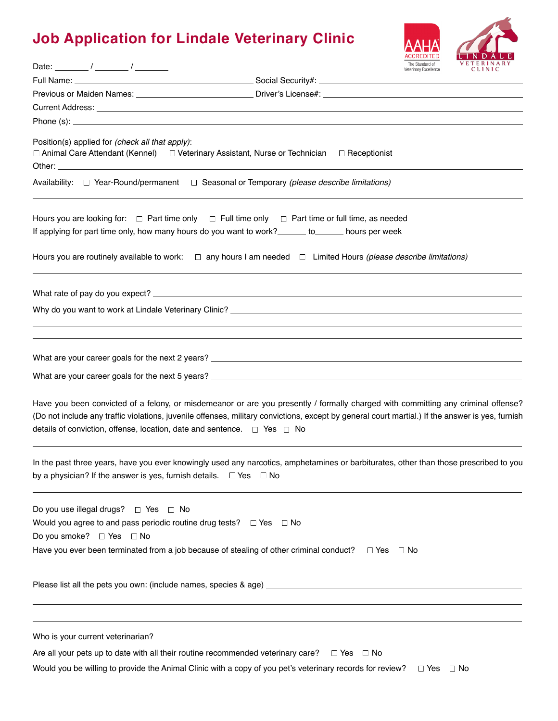## **Job Application for Lindale Veterinary Clinic**



| Date: $\frac{1}{\sqrt{2\pi}}$                                                                                                                                                                                                                                                                                                                                    | Veterinary Excellence | <b>VETERINARY</b><br>CLINIC |
|------------------------------------------------------------------------------------------------------------------------------------------------------------------------------------------------------------------------------------------------------------------------------------------------------------------------------------------------------------------|-----------------------|-----------------------------|
|                                                                                                                                                                                                                                                                                                                                                                  |                       |                             |
| Previous or Maiden Names: _______________________________Driver's License#: ________________________                                                                                                                                                                                                                                                             |                       |                             |
|                                                                                                                                                                                                                                                                                                                                                                  |                       |                             |
|                                                                                                                                                                                                                                                                                                                                                                  |                       |                             |
| Position(s) applied for (check all that apply):<br>□ Animal Care Attendant (Kennel) □ Veterinary Assistant, Nurse or Technician □ Receptionist                                                                                                                                                                                                                   |                       |                             |
| Availability: □ Year-Round/permanent □ Seasonal or Temporary (please describe limitations)                                                                                                                                                                                                                                                                       |                       |                             |
| Hours you are looking for: $\Box$ Part time only $\Box$ Full time only $\Box$ Part time or full time, as needed<br>If applying for part time only, how many hours do you want to work?_______ to_______ hours per week                                                                                                                                           |                       |                             |
| Hours you are routinely available to work: $\square$ any hours I am needed $\square$ Limited Hours (please describe limitations)                                                                                                                                                                                                                                 |                       |                             |
|                                                                                                                                                                                                                                                                                                                                                                  |                       |                             |
|                                                                                                                                                                                                                                                                                                                                                                  |                       |                             |
|                                                                                                                                                                                                                                                                                                                                                                  |                       |                             |
| Have you been convicted of a felony, or misdemeanor or are you presently / formally charged with committing any criminal offense?<br>(Do not include any traffic violations, juvenile offenses, military convictions, except by general court martial.) If the answer is yes, furnish<br>details of conviction, offense, location, date and sentence. □ Yes □ No |                       |                             |
| In the past three years, have you ever knowingly used any narcotics, amphetamines or barbiturates, other than those prescribed to you<br>by a physician? If the answer is yes, furnish details. $\Box$ Yes $\Box$ No                                                                                                                                             |                       |                             |
| Do you use illegal drugs? □ Yes □ No<br>Would you agree to and pass periodic routine drug tests? $\square$ Yes $\square$ No<br>Do you smoke? □ Yes □ No<br>Have you ever been terminated from a job because of stealing of other criminal conduct?                                                                                                               | $\Box$ Yes $\Box$ No  |                             |
|                                                                                                                                                                                                                                                                                                                                                                  |                       |                             |
|                                                                                                                                                                                                                                                                                                                                                                  |                       |                             |
| Are all your pets up to date with all their routine recommended veterinary care? $\square$ Yes $\square$ No                                                                                                                                                                                                                                                      |                       |                             |

Would you be willing to provide the Animal Clinic with a copy of you pet's veterinary records for review?  $\Box$  Yes  $\Box$  No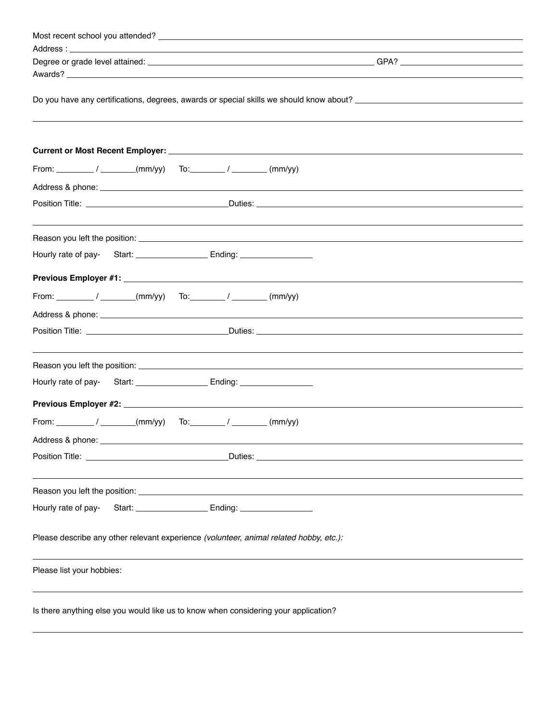| Do you have any certifications, degrees, awards or special skills we should know about? ________________________              |  |
|-------------------------------------------------------------------------------------------------------------------------------|--|
|                                                                                                                               |  |
|                                                                                                                               |  |
|                                                                                                                               |  |
| From: $\frac{1}{\sqrt{2\pi}}$ / $\frac{1}{\sqrt{2\pi}}$ (mm/yy) To: $\frac{1}{\sqrt{2\pi}}$ (mm/yy)                           |  |
|                                                                                                                               |  |
|                                                                                                                               |  |
|                                                                                                                               |  |
|                                                                                                                               |  |
|                                                                                                                               |  |
|                                                                                                                               |  |
|                                                                                                                               |  |
| From: $\frac{1}{\sqrt{2\pi}}$ / $\frac{1}{\sqrt{2\pi}}$ (mm/yy) To: $\frac{1}{\sqrt{2\pi}}$ / $\frac{1}{\sqrt{2\pi}}$ (mm/yy) |  |
|                                                                                                                               |  |
|                                                                                                                               |  |
|                                                                                                                               |  |
|                                                                                                                               |  |
|                                                                                                                               |  |
|                                                                                                                               |  |
|                                                                                                                               |  |
|                                                                                                                               |  |
| Address & phone: ______________                                                                                               |  |
|                                                                                                                               |  |
|                                                                                                                               |  |
|                                                                                                                               |  |
|                                                                                                                               |  |
| Hourly rate of pay-                                                                                                           |  |
|                                                                                                                               |  |
| Please describe any other relevant experience (volunteer, animal related hobby, etc.):                                        |  |
|                                                                                                                               |  |
| Please list your hobbies:                                                                                                     |  |
|                                                                                                                               |  |
| Is there anything else you would like us to know when considering your application?                                           |  |
|                                                                                                                               |  |